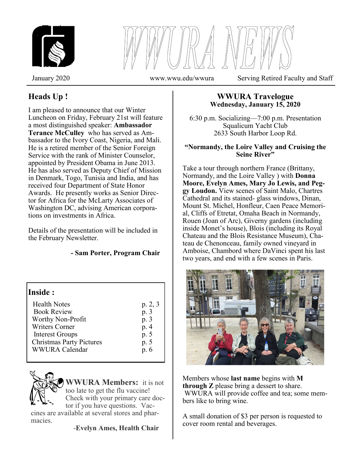

January 2020 www.wwu.edu/wwura Serving Retired Faculty and Staff

# **Heads Up !**

I am pleased to announce that our Winter Luncheon on Friday, February 21st will feature a most distinguished speaker: **Ambassador Terance McCulley** who has served as Ambassador to the Ivory Coast, Nigeria, and Mali. He is a retired member of the Senior Foreign Service with the rank of Minister Counselor, appointed by President Obama in June 2013. He has also served as Deputy Chief of Mission in Denmark, Togo, Tunisia and India, and has received four Department of State Honor Awards. He presently works as Senior Director for Africa for the McLarty Associates of Washington DC, advising American corporations on investments in Africa.

Details of the presentation will be included in the February Newsletter.

### **- Sam Porter, Program Chair**

| p. 2, 3                                      |
|----------------------------------------------|
| p. 3<br>p. 3<br>p. 4<br>p. 5<br>p. 5<br>p. 6 |
|                                              |

**WWURA Members:** it is not too late to get the flu vaccine! Check with your primary care doctor if you have questions. Vac-

cines are available at several stores and pharmacies.

-**Evelyn Ames, Health Chair**

### **WWURA Travelogue Wednesday, January 15, 2020**

6:30 p.m. Socializing—7:00 p.m. Presentation Squalicum Yacht Club 2633 South Harbor Loop Rd.

### **"Normandy, the Loire Valley and Cruising the Seine River"**

Take a tour through northern France (Brittany, Normandy, and the Loire Valley ) with **Donna Moore, Evelyn Ames, Mary Jo Lewis, and Peggy Loudon.** View scenes of Saint Malo, Chartres Cathedral and its stained- glass windows, Dinan, Mount St. Michel, Honfleur, Caen Peace Memorial, Cliffs of Etretat, Omaha Beach in Normandy, Rouen (Joan of Arc), Giverny gardens (including inside Monet's house), Blois (including its Royal Chateau and the Blois Resistance Museum), Chateau de Chenonceau, family owned vineyard in Amboise, Chambord where DaVinci spent his last two years, and end with a few scenes in Paris.



Members whose **last name** begins with **M through Z** please bring a dessert to share. WWURA will provide coffee and tea; some members like to bring wine.

A small donation of \$3 per person is requested to cover room rental and beverages.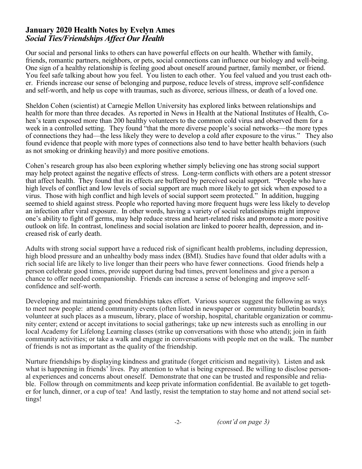### **January 2020 Health Notes by Evelyn Ames** *Social Ties/Friendships Affect Our Health*

Our social and personal links to others can have powerful effects on our health. Whether with family, friends, romantic partners, neighbors, or pets, social connections can influence our biology and well-being. One sign of a healthy relationship is feeling good about oneself around partner, family member, or friend. You feel safe talking about how you feel. You listen to each other. You feel valued and you trust each other. Friends increase our sense of belonging and purpose, reduce levels of stress, improve self-confidence and self-worth, and help us cope with traumas, such as divorce, serious illness, or death of a loved one.

Sheldon Cohen (scientist) at Carnegie Mellon University has explored links between relationships and health for more than three decades. As reported in News in Health at the National Institutes of Health, Cohen's team exposed more than 200 healthy volunteers to the common cold virus and observed them for a week in a controlled setting. They found "that the more diverse people's social networks—the more types of connections they had—the less likely they were to develop a cold after exposure to the virus." They also found evidence that people with more types of connections also tend to have better health behaviors (such as not smoking or drinking heavily) and more positive emotions.

Cohen's research group has also been exploring whether simply believing one has strong social support may help protect against the negative effects of stress. Long-term conflicts with others are a potent stressor that affect health. They found that its effects are buffered by perceived social support. "People who have high levels of conflict and low levels of social support are much more likely to get sick when exposed to a virus. Those with high conflict and high levels of social support seem protected." In addition, hugging seemed to shield against stress. People who reported having more frequent hugs were less likely to develop an infection after viral exposure. In other words, having a variety of social relationships might improve one's ability to fight off germs, may help reduce stress and heart-related risks and promote a more positive outlook on life. In contrast, loneliness and social isolation are linked to poorer health, depression, and increased risk of early death.

Adults with strong social support have a reduced risk of significant health problems, including depression, high blood pressure and an unhealthy body mass index (BMI). Studies have found that older adults with a rich social life are likely to live longer than their peers who have fewer connections. Good friends help a person celebrate good times, provide support during bad times, prevent loneliness and give a person a chance to offer needed companionship. Friends can increase a sense of belonging and improve selfconfidence and self-worth.

Developing and maintaining good friendships takes effort. Various sources suggest the following as ways to meet new people: attend community events (often listed in newspaper or community bulletin boards); volunteer at such places as a museum, library, place of worship, hospital, charitable organization or community center; extend or accept invitations to social gatherings; take up new interests such as enrolling in our local Academy for Lifelong Learning classes (strike up conversations with those who attend); join in faith community activities; or take a walk and engage in conversations with people met on the walk. The number of friends is not as important as the quality of the friendship.

Nurture friendships by displaying kindness and gratitude (forget criticism and negativity). Listen and ask what is happening in friends' lives. Pay attention to what is being expressed. Be willing to disclose personal experiences and concerns about oneself. Demonstrate that one can be trusted and responsible and reliable. Follow through on commitments and keep private information confidential. Be available to get together for lunch, dinner, or a cup of tea! And lastly, resist the temptation to stay home and not attend social settings!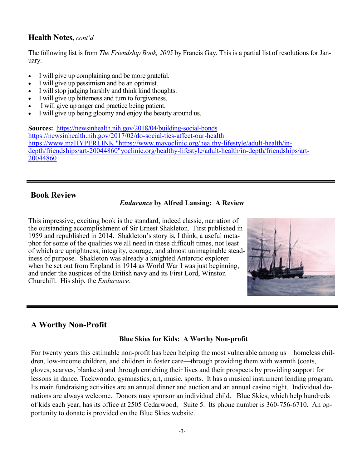### **Health Notes,** *cont'd*

The following list is from *The Friendship Book, 2005* by Francis Gay. This is a partial list of resolutions for January.

- I will give up complaining and be more grateful.
- I will give up pessimism and be an optimist.
- I will stop judging harshly and think kind thoughts.
- I will give up bitterness and turn to forgiveness.
- I will give up anger and practice being patient.
- I will give up being gloomy and enjoy the beauty around us.

**Sources:** [https://newsinhealth.nih.gov/2018/04/building](https://newsinhealth.nih.gov/2018/04/building-social-bonds)-social-bonds [https://newsinhealth.nih.gov/2017/02/do](https://newsinhealth.nih.gov/2017/02/do-social-ties-affect-our-health)-social-ties-affect-our-healt[h](https://www.mayoclinic.org/healthy-lifestyle/adult-health/in-depth/friendships/art-20044860) [https://www.maHYPERLINK "https://www.mayoclinic.org/healthy](https://www.mayoclinic.org/healthy-lifestyle/adult-health/in-depth/friendships/art-20044860)-lifestyle/adult-health/indepth/friendships/art-[20044860"yoclinic.org/healthy](https://www.mayoclinic.org/healthy-lifestyle/adult-health/in-depth/friendships/art-20044860)-lifestyle/adult-health/in-depth/friendships/art-[20044860](https://www.mayoclinic.org/healthy-lifestyle/adult-health/in-depth/friendships/art-20044860)

### **Book Review**

#### *Endurance* **by Alfred Lansing: A Review**

This impressive, exciting book is the standard, indeed classic, narration of the outstanding accomplishment of Sir Ernest Shakleton. First published in 1959 and republished in 2014. Shakleton's story is, I think, a useful metaphor for some of the qualities we all need in these difficult times, not least of which are uprightness, integrity, courage, and almost unimaginable steadiness of purpose. Shakleton was already a knighted Antarctic explorer when he set out from England in 1914 as World War I was just beginning, and under the auspices of the British navy and its First Lord, Winston Churchill. His ship, the *Endurance*.



## **A Worthy Non-Profit**

#### **Blue Skies for Kids: A Worthy Non-profit**

For twenty years this estimable non-profit has been helping the most vulnerable among us—homeless children, low-income children, and children in foster care—through providing them with warmth (coats, gloves, scarves, blankets) and through enriching their lives and their prospects by providing support for lessons in dance, Taekwondo, gymnastics, art, music, sports. It has a musical instrument lending program. Its main fundraising activities are an annual dinner and auction and an annual casino night. Individual donations are always welcome. Donors may sponsor an individual child. Blue Skies, which help hundreds of kids each year, has its office at 2505 Cedarwood, Suite 5. Its phone number is 360-756-6710. An opportunity to donate is provided on the Blue Skies website.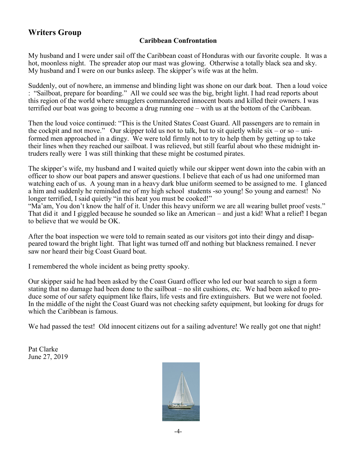## **Writers Group**

### **Caribbean Confrontation**

My husband and I were under sail off the Caribbean coast of Honduras with our favorite couple. It was a hot, moonless night. The spreader atop our mast was glowing. Otherwise a totally black sea and sky. My husband and I were on our bunks asleep. The skipper's wife was at the helm.

Suddenly, out of nowhere, an immense and blinding light was shone on our dark boat. Then a loud voice : "Sailboat, prepare for boarding." All we could see was the big, bright light. I had read reports about this region of the world where smugglers commandeered innocent boats and killed their owners. I was terrified our boat was going to become a drug running one – with us at the bottom of the Caribbean.

Then the loud voice continued: "This is the United States Coast Guard. All passengers are to remain in the cockpit and not move." Our skipper told us not to talk, but to sit quietly while  $\sin 2\theta - \sin 3\theta$ formed men approached in a dingy. We were told firmly not to try to help them by getting up to take their lines when they reached our sailboat. I was relieved, but still fearful about who these midnight intruders really were I was still thinking that these might be costumed pirates.

The skipper's wife, my husband and I waited quietly while our skipper went down into the cabin with an officer to show our boat papers and answer questions. I believe that each of us had one uniformed man watching each of us. A young man in a heavy dark blue uniform seemed to be assigned to me. I glanced a him and suddenly he reminded me of my high school students -so young! So young and earnest! No longer terrified, I said quietly "in this heat you must be cooked!"

"Ma'am, You don't know the half of it. Under this heavy uniform we are all wearing bullet proof vests." That did it and I giggled because he sounded so like an American – and just a kid! What a relief! I began to believe that we would be OK.

After the boat inspection we were told to remain seated as our visitors got into their dingy and disappeared toward the bright light. That light was turned off and nothing but blackness remained. I never saw nor heard their big Coast Guard boat.

I remembered the whole incident as being pretty spooky.

Our skipper said he had been asked by the Coast Guard officer who led our boat search to sign a form stating that no damage had been done to the sailboat – no slit cushions, etc. We had been asked to produce some of our safety equipment like flairs, life vests and fire extinguishers. But we were not fooled. In the middle of the night the Coast Guard was not checking safety equipment, but looking for drugs for which the Caribbean is famous.

We had passed the test! Old innocent citizens out for a sailing adventure! We really got one that night!

Pat Clarke June 27, 2019

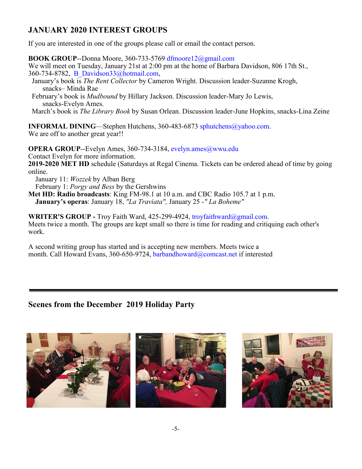# **JANUARY 2020 INTEREST GROUPS**

If you are interested in one of the groups please call or email the contact person.

**BOOK GROUP**--Donna Moore, 360-733-5769 dfmoore12@gmail.com

We will meet on Tuesday, January 21st at 2:00 pm at the home of Barbara Davidson, 806 17th St., 360-734-8782, B\_Davidson33@hotmail.com,

- January's book is *The Rent Collector* by Cameron Wright. Discussion leader-Suzanne Krogh, snacks– Minda Rae
- February's book is *Mudbound* by Hillary Jackson. Discussion leader-Mary Jo Lewis, snacks-Evelyn Ames.

March's book is *The Library Book* by Susan Orlean. Discussion leader-June Hopkins, snacks-Lina Zeine

**INFORMAL DINING—Stephen Hutchens, 360-483-6873 sphutchens@yahoo.com.** We are off to another great year!!

**OPERA GROUP**--Evelyn Ames, 360-734-3184, evelyn.ames@wwu.edu Contact Evelyn for more information.

**2019-2020 MET HD** schedule (Saturdays at Regal Cinema. Tickets can be ordered ahead of time by going online.

January 11: *Wozzek* by Alban Berg

February 1: *Porgy and Bess* by the Gershwins

**Met HD: Radio broadcasts**: King FM-98.1 at 10 a.m. and CBC Radio 105.7 at 1 p.m.  **January's operas**: January 18, *"La Traviata",* January 25 -*" La Boheme"*

**WRITER'S GROUP -** Troy Faith Ward, 425-299-4924, troyfaithward@gmail.com. Meets twice a month. The groups are kept small so there is time for reading and critiquing each other's work.

A second writing group has started and is accepting new members. Meets twice a month. Call Howard Evans, 360-650-9724, barbandhoward@comcast.net if interested

## **Scenes from the December 2019 Holiday Party**

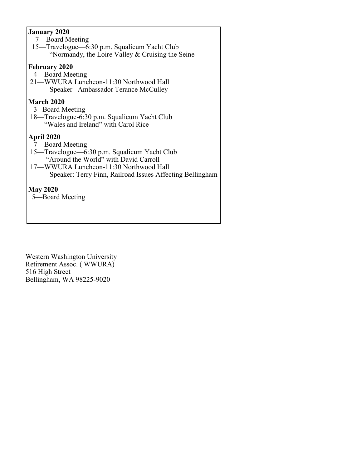### **January 2020**

- 7—Board Meeting
- 15—Travelogue—6:30 p.m. Squalicum Yacht Club "Normandy, the Loire Valley & Cruising the Seine

### **February 2020**

- 4—Board Meeting
- 21—WWURA Luncheon-11:30 Northwood Hall Speaker– Ambassador Terance McCulley

### **March 2020**

- 3 –Board Meeting
- 18—Travelogue-6:30 p.m. Squalicum Yacht Club "Wales and Ireland" with Carol Rice

### **April 2020**

- 7—Board Meeting
- 15—Travelogue—6:30 p.m. Squalicum Yacht Club "Around the World" with David Carroll
- 17—WWURA Luncheon-11:30 Northwood Hall Speaker: Terry Finn, Railroad Issues Affecting Bellingham

### **May 2020**

5—Board Meeting

Western Washington University Retirement Assoc. ( WWURA) 516 High Street Bellingham, WA 98225-9020